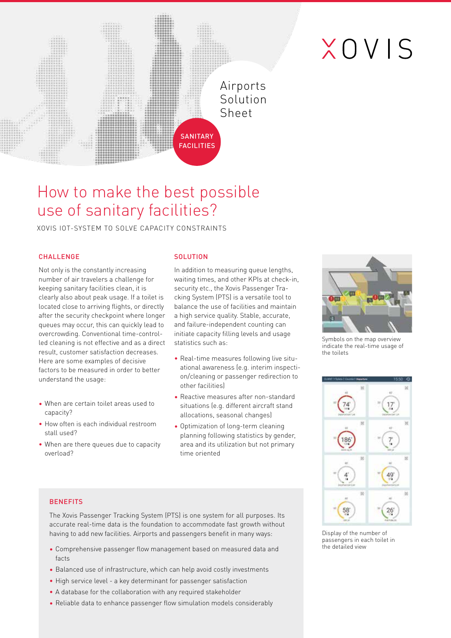# XOVIS

### Airports Solution Sheet

## How to make the best possible use of sanitary facilities?

XOVIS IOT-SYSTEM TO SOLVE CAPACITY CONSTRAINTS

#### **CHALLENGE**

Not only is the constantly increasing number of air travelers a challenge for keeping sanitary facilities clean, it is clearly also about peak usage. If a toilet is located close to arriving flights, or directly after the security checkpoint where longer queues may occur, this can quickly lead to overcrowding. Conventional time-controlled cleaning is not effective and as a direct result, customer satisfaction decreases. Here are some examples of decisive factors to be measured in order to better understand the usage:

- When are certain toilet areas used to capacity?
- How often is each individual restroom stall used?
- When are there queues due to capacity overload?

**BENEFITS** 

#### **SOLUTION**

**SANITARY FACILITIES** 

In addition to measuring queue lengths, waiting times, and other KPIs at check-in, security etc., the Xovis Passenger Tracking System (PTS) is a versatile tool to balance the use of facilities and maintain a high service quality. Stable, accurate, and failure-independent counting can initiate capacity filling levels and usage statistics such as:

- Real-time measures following live situational awareness (e.g. interim inspection/cleaning or passenger redirection to other facilities)
- Reactive measures after non-standard situations (e.g. different aircraft stand allocations, seasonal changes)
- Optimization of long-term cleaning planning following statistics by gender, area and its utilization but not primary time oriented



Symbols on the map overview indicate the real-time usage of the toilets



#### Display of the number of passengers in each toilet in the detailed view

• Comprehensive passenger flow management based on measured data and facts

The Xovis Passenger Tracking System (PTS) is one system for all purposes. Its accurate real-time data is the foundation to accommodate fast growth without having to add new facilities. Airports and passengers benefit in many ways:

- Balanced use of infrastructure, which can help avoid costly investments
- High service level a key determinant for passenger satisfaction
- A database for the collaboration with any required stakeholder
- Reliable data to enhance passenger flow simulation models considerably